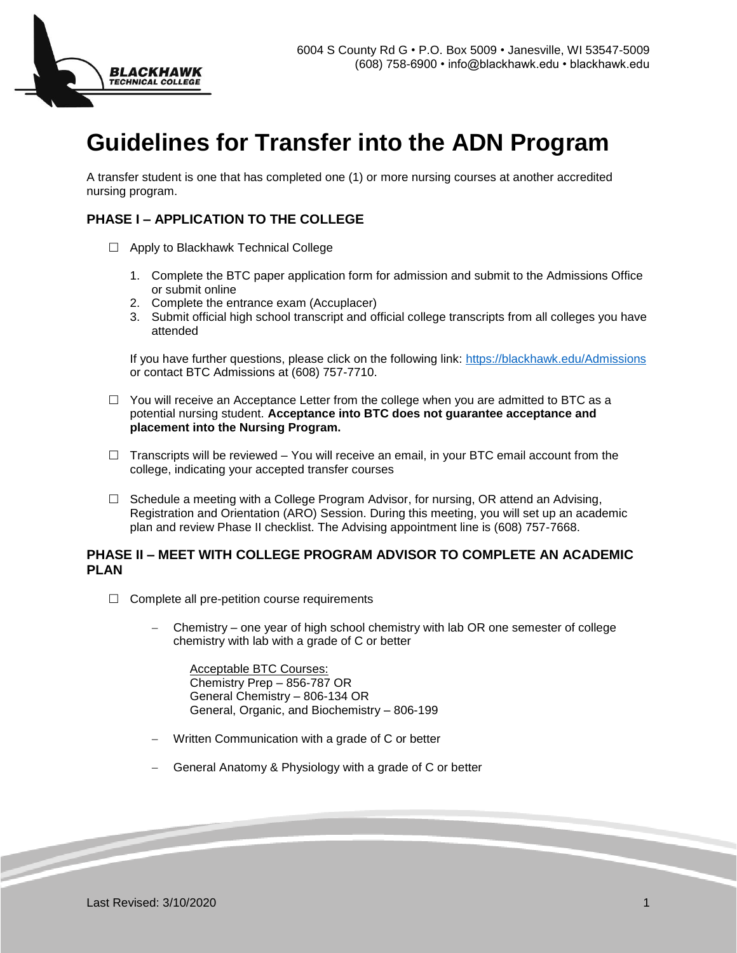

## **Guidelines for Transfer into the ADN Program**

A transfer student is one that has completed one (1) or more nursing courses at another accredited nursing program.

## **PHASE I – APPLICATION TO THE COLLEGE**

- $\Box$  Apply to Blackhawk Technical College
	- 1. Complete the BTC paper application form for admission and submit to the Admissions Office or submit online
	- 2. Complete the entrance exam (Accuplacer)
	- 3. Submit official high school transcript and official college transcripts from all colleges you have attended

If you have further questions, please click on the following link:<https://blackhawk.edu/Admissions> or contact BTC Admissions at (608) 757-7710.

- $\Box$  You will receive an Acceptance Letter from the college when you are admitted to BTC as a potential nursing student. **Acceptance into BTC does not guarantee acceptance and placement into the Nursing Program.**
- $\Box$  Transcripts will be reviewed You will receive an email, in your BTC email account from the college, indicating your accepted transfer courses
- $\Box$  Schedule a meeting with a College Program Advisor, for nursing, OR attend an Advising, Registration and Orientation (ARO) Session. During this meeting, you will set up an academic plan and review Phase II checklist. The Advising appointment line is (608) 757-7668.

## **PHASE II – MEET WITH COLLEGE PROGRAM ADVISOR TO COMPLETE AN ACADEMIC PLAN**

- $\Box$  Complete all pre-petition course requirements
	- Chemistry one year of high school chemistry with lab OR one semester of college chemistry with lab with a grade of C or better

 Acceptable BTC Courses: Chemistry Prep – 856-787 OR General Chemistry – 806-134 OR General, Organic, and Biochemistry – 806-199

- Written Communication with a grade of C or better
- General Anatomy & Physiology with a grade of C or better